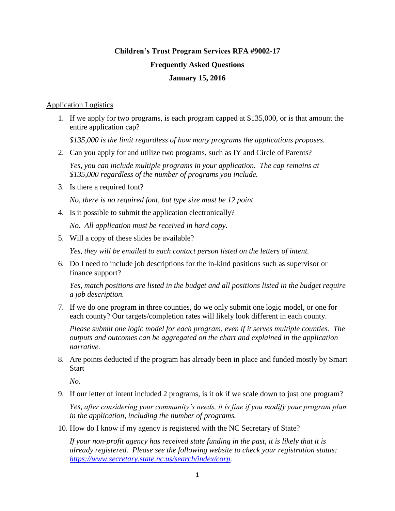# **Children's Trust Program Services RFA #9002-17 Frequently Asked Questions January 15, 2016**

# Application Logistics

1. If we apply for two programs, is each program capped at \$135,000, or is that amount the entire application cap?

*\$135,000 is the limit regardless of how many programs the applications proposes.*

2. Can you apply for and utilize two programs, such as IY and Circle of Parents?

*Yes, you can include multiple programs in your application. The cap remains at \$135,000 regardless of the number of programs you include.*

3. Is there a required font?

*No, there is no required font, but type size must be 12 point.*

4. Is it possible to submit the application electronically?

*No. All application must be received in hard copy.*

5. Will a copy of these slides be available?

*Yes, they will be emailed to each contact person listed on the letters of intent.*

6. Do I need to include job descriptions for the in-kind positions such as supervisor or finance support?

*Yes, match positions are listed in the budget and all positions listed in the budget require a job description.*

7. If we do one program in three counties, do we only submit one logic model, or one for each county? Our targets/completion rates will likely look different in each county.

*Please submit one logic model for each program, even if it serves multiple counties. The outputs and outcomes can be aggregated on the chart and explained in the application narrative.*

8. Are points deducted if the program has already been in place and funded mostly by Smart **Start** 

*No.*

9. If our letter of intent included 2 programs, is it ok if we scale down to just one program?

*Yes, after considering your community's needs, it is fine if you modify your program plan in the application, including the number of programs.*

10. How do I know if my agency is registered with the NC Secretary of State?

*If your non-profit agency has received state funding in the past, it is likely that it is already registered. Please see the following website to check your registration status: [https://www.secretary.state.nc.us/search/index/corp.](https://www.secretary.state.nc.us/search/index/corp)*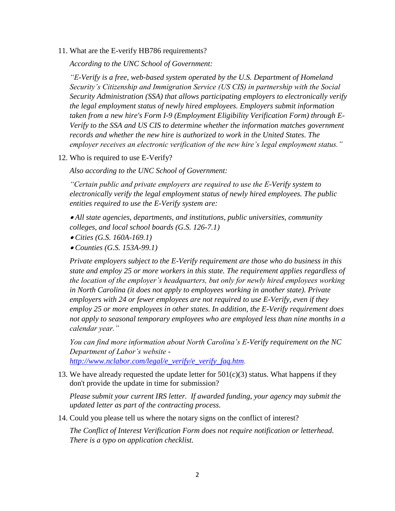11. What are the E-verify HB786 requirements?

*According to the UNC School of Government:*

*"E-Verify is a free, web-based system operated by the U.S. Department of Homeland Security's Citizenship and Immigration Service (US CIS) in partnership with the Social Security Administration (SSA) that allows participating employers to electronically verify the legal employment status of newly hired employees. Employers submit information taken from a new hire's Form I-9 (Employment Eligibility Verification Form) through E-Verify to the SSA and US CIS to determine whether the information matches government records and whether the new hire is authorized to work in the United States. The employer receives an electronic verification of the new hire's legal employment status."*

12. Who is required to use E-Verify?

*Also according to the UNC School of Government:*

*"Certain public and private employers are required to use the E-Verify system to electronically verify the legal employment status of newly hired employees. The public entities required to use the E-Verify system are:*

 *All state agencies, departments, and institutions, public universities, community colleges, and local school boards (G.S. 126-7.1)*

- *Cities (G.S. 160A-169.1)*
- *Counties (G.S. 153A-99.1)*

*Private employers subject to the E-Verify requirement are those who do business in this state and employ 25 or more workers in this state. The requirement applies regardless of the location of the employer's headquarters, but only for newly hired employees working in North Carolina (it does not apply to employees working in another state). Private employers with 24 or fewer employees are not required to use E-Verify, even if they employ 25 or more employees in other states. In addition, the E-Verify requirement does not apply to seasonal temporary employees who are employed less than nine months in a calendar year."*

*You can find more information about North Carolina's E-Verify requirement on the NC Department of Labor's website [http://www.nclabor.com/legal/e\\_verify/e\\_verify\\_faq.htm.](http://www.nclabor.com/legal/e_verify/e_verify_faq.htm)*

13. We have already requested the update letter for  $501(c)(3)$  status. What happens if they don't provide the update in time for submission?

*Please submit your current IRS letter. If awarded funding, your agency may submit the updated letter as part of the contracting process.*

14. Could you please tell us where the notary signs on the conflict of interest?

*The Conflict of Interest Verification Form does not require notification or letterhead. There is a typo on application checklist.*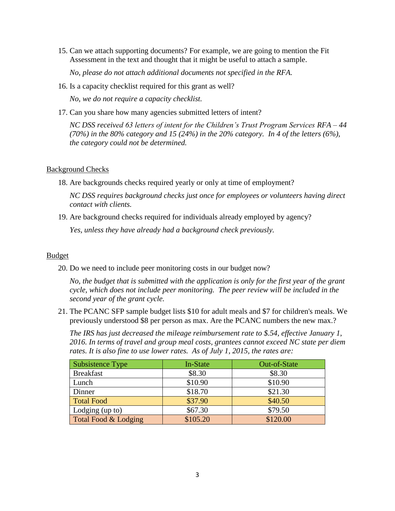15. Can we attach supporting documents? For example, we are going to mention the Fit Assessment in the text and thought that it might be useful to attach a sample.

*No, please do not attach additional documents not specified in the RFA.*

16. Is a capacity checklist required for this grant as well?

*No, we do not require a capacity checklist.*

17. Can you share how many agencies submitted letters of intent?

*NC DSS received 63 letters of intent for the Children's Trust Program Services RFA – 44 (70%) in the 80% category and 15 (24%) in the 20% category. In 4 of the letters (6%), the category could not be determined.*

## Background Checks

18. Are backgrounds checks required yearly or only at time of employment?

*NC DSS requires background checks just once for employees or volunteers having direct contact with clients.*

19. Are background checks required for individuals already employed by agency?

*Yes, unless they have already had a background check previously.*

#### **Budget**

20. Do we need to include peer monitoring costs in our budget now?

*No, the budget that is submitted with the application is only for the first year of the grant cycle, which does not include peer monitoring. The peer review will be included in the second year of the grant cycle.*

21. The PCANC SFP sample budget lists \$10 for adult meals and \$7 for children's meals. We previously understood \$8 per person as max. Are the PCANC numbers the new max.?

*The IRS has just decreased the mileage reimbursement rate to \$.54, effective January 1, 2016. In terms of travel and group meal costs, grantees cannot exceed NC state per diem rates. It is also fine to use lower rates. As of July 1, 2015, the rates are:*

| Subsistence Type     | In-State | Out-of-State |
|----------------------|----------|--------------|
| <b>Breakfast</b>     | \$8.30   | \$8.30       |
| Lunch                | \$10.90  | \$10.90      |
| Dinner               | \$18.70  | \$21.30      |
| <b>Total Food</b>    | \$37.90  | \$40.50      |
| Lodging (up to)      | \$67.30  | \$79.50      |
| Total Food & Lodging | \$105.20 | \$120.00     |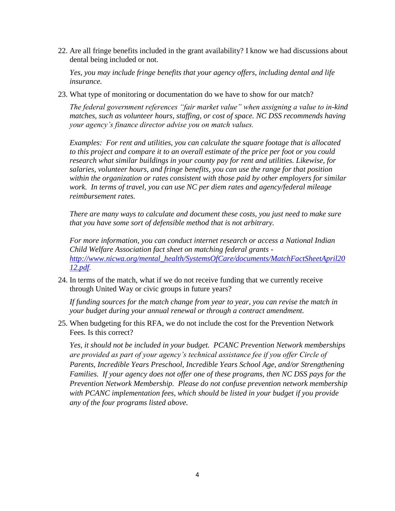22. Are all fringe benefits included in the grant availability? I know we had discussions about dental being included or not.

*Yes, you may include fringe benefits that your agency offers, including dental and life insurance.*

23. What type of monitoring or documentation do we have to show for our match?

*The federal government references "fair market value" when assigning a value to in-kind matches, such as volunteer hours, staffing, or cost of space. NC DSS recommends having your agency's finance director advise you on match values.* 

*Examples: For rent and utilities, you can calculate the square footage that is allocated to this project and compare it to an overall estimate of the price per foot or you could research what similar buildings in your county pay for rent and utilities. Likewise, for salaries, volunteer hours, and fringe benefits, you can use the range for that position within the organization or rates consistent with those paid by other employers for similar work. In terms of travel, you can use NC per diem rates and agency/federal mileage reimbursement rates.*

*There are many ways to calculate and document these costs, you just need to make sure that you have some sort of defensible method that is not arbitrary.*

*For more information, you can conduct internet research or access a National Indian Child Welfare Association fact sheet on matching federal grants [http://www.nicwa.org/mental\\_health/SystemsOfCare/documents/MatchFactSheetApril20](http://www.nicwa.org/mental_health/SystemsOfCare/documents/MatchFactSheetApril2012.pdf) [12.pdf.](http://www.nicwa.org/mental_health/SystemsOfCare/documents/MatchFactSheetApril2012.pdf)* 

24. In terms of the match, what if we do not receive funding that we currently receive through United Way or civic groups in future years?

*If funding sources for the match change from year to year, you can revise the match in your budget during your annual renewal or through a contract amendment.*

25. When budgeting for this RFA, we do not include the cost for the Prevention Network Fees. Is this correct?

*Yes, it should not be included in your budget. PCANC Prevention Network memberships are provided as part of your agency's technical assistance fee if you offer Circle of Parents, Incredible Years Preschool, Incredible Years School Age, and/or Strengthening Families. If your agency does not offer one of these programs, then NC DSS pays for the Prevention Network Membership. Please do not confuse prevention network membership with PCANC implementation fees, which should be listed in your budget if you provide any of the four programs listed above.*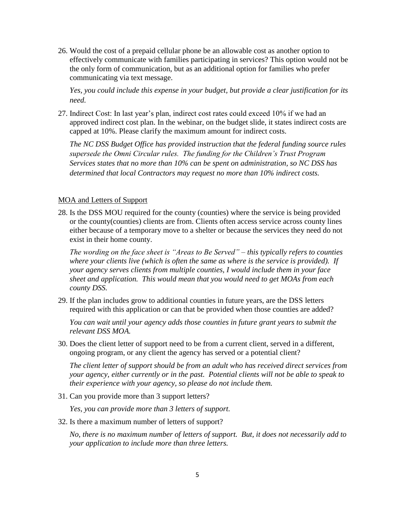26. Would the cost of a prepaid cellular phone be an allowable cost as another option to effectively communicate with families participating in services? This option would not be the only form of communication, but as an additional option for families who prefer communicating via text message.

*Yes, you could include this expense in your budget, but provide a clear justification for its need.*

27. Indirect Cost: In last year's plan, indirect cost rates could exceed 10% if we had an approved indirect cost plan. In the webinar, on the budget slide, it states indirect costs are capped at 10%. Please clarify the maximum amount for indirect costs.

*The NC DSS Budget Office has provided instruction that the federal funding source rules supersede the Omni Circular rules. The funding for the Children's Trust Program Services states that no more than 10% can be spent on administration, so NC DSS has determined that local Contractors may request no more than 10% indirect costs.*

#### MOA and Letters of Support

28. Is the DSS MOU required for the county (counties) where the service is being provided or the county(counties) clients are from. Clients often access service across county lines either because of a temporary move to a shelter or because the services they need do not exist in their home county.

*The wording on the face sheet is "Areas to Be Served" – this typically refers to counties where your clients live (which is often the same as where is the service is provided). If your agency serves clients from multiple counties, I would include them in your face sheet and application. This would mean that you would need to get MOAs from each county DSS.*

29. If the plan includes grow to additional counties in future years, are the DSS letters required with this application or can that be provided when those counties are added?

*You can wait until your agency adds those counties in future grant years to submit the relevant DSS MOA.*

30. Does the client letter of support need to be from a current client, served in a different, ongoing program, or any client the agency has served or a potential client?

*The client letter of support should be from an adult who has received direct services from your agency, either currently or in the past. Potential clients will not be able to speak to their experience with your agency, so please do not include them.*

31. Can you provide more than 3 support letters?

*Yes, you can provide more than 3 letters of support.*

32. Is there a maximum number of letters of support?

*No, there is no maximum number of letters of support. But, it does not necessarily add to your application to include more than three letters.*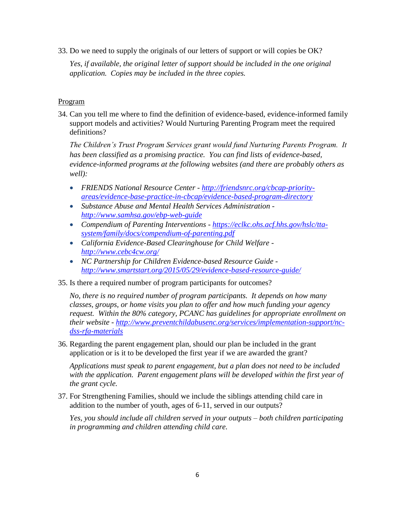33. Do we need to supply the originals of our letters of support or will copies be OK?

*Yes, if available, the original letter of support should be included in the one original application. Copies may be included in the three copies.*

# Program

34. Can you tell me where to find the definition of evidence-based, evidence-informed family support models and activities? Would Nurturing Parenting Program meet the required definitions?

*The Children's Trust Program Services grant would fund Nurturing Parents Program. It has been classified as a promising practice. You can find lists of evidence-based, evidence-informed programs at the following websites (and there are probably others as well):*

- *FRIENDS National Resource Center - [http://friendsnrc.org/cbcap-priority](http://friendsnrc.org/cbcap-priority-areas/evidence-base-practice-in-cbcap/evidence-based-program-directory)[areas/evidence-base-practice-in-cbcap/evidence-based-program-directory](http://friendsnrc.org/cbcap-priority-areas/evidence-base-practice-in-cbcap/evidence-based-program-directory)*
- *Substance Abuse and Mental Health Services Administration <http://www.samhsa.gov/ebp-web-guide>*
- *Compendium of Parenting Interventions - [https://eclkc.ohs.acf.hhs.gov/hslc/tta](https://eclkc.ohs.acf.hhs.gov/hslc/tta-system/family/docs/compendium-of-parenting.pdf)[system/family/docs/compendium-of-parenting.pdf](https://eclkc.ohs.acf.hhs.gov/hslc/tta-system/family/docs/compendium-of-parenting.pdf)*
- *California Evidence-Based Clearinghouse for Child Welfare <http://www.cebc4cw.org/>*
- *NC Partnership for Children Evidence-based Resource Guide <http://www.smartstart.org/2015/05/29/evidence-based-resource-guide/>*
- 35. Is there a required number of program participants for outcomes?

*No, there is no required number of program participants. It depends on how many classes, groups, or home visits you plan to offer and how much funding your agency request. Within the 80% category, PCANC has guidelines for appropriate enrollment on their website - [http://www.preventchildabusenc.org/services/implementation-support/nc](http://www.preventchildabusenc.org/services/implementation-support/nc-dss-rfa-materials)[dss-rfa-materials](http://www.preventchildabusenc.org/services/implementation-support/nc-dss-rfa-materials)*

36. Regarding the parent engagement plan, should our plan be included in the grant application or is it to be developed the first year if we are awarded the grant?

*Applications must speak to parent engagement, but a plan does not need to be included with the application. Parent engagement plans will be developed within the first year of the grant cycle.*

37. For Strengthening Families, should we include the siblings attending child care in addition to the number of youth, ages of 6-11, served in our outputs?

*Yes, you should include all children served in your outputs – both children participating in programming and children attending child care.*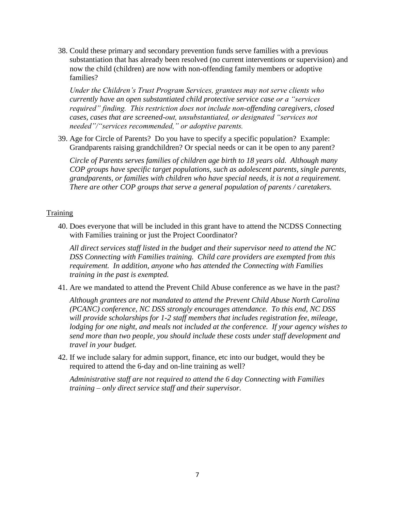38. Could these primary and secondary prevention funds serve families with a previous substantiation that has already been resolved (no current interventions or supervision) and now the child (children) are now with non-offending family members or adoptive families?

*Under the Children's Trust Program Services, grantees may not serve clients who currently have an open substantiated child protective service case or a "services required" finding. This restriction does not include non-offending caregivers, closed cases, cases that are screened-out, unsubstantiated, or designated "services not needed"/"services recommended," or adoptive parents.*

39. Age for Circle of Parents? Do you have to specify a specific population? Example: Grandparents raising grandchildren? Or special needs or can it be open to any parent?

*Circle of Parents serves families of children age birth to 18 years old. Although many COP groups have specific target populations, such as adolescent parents, single parents, grandparents, or families with children who have special needs, it is not a requirement. There are other COP groups that serve a general population of parents / caretakers.*

## **Training**

40. Does everyone that will be included in this grant have to attend the NCDSS Connecting with Families training or just the Project Coordinator?

*All direct services staff listed in the budget and their supervisor need to attend the NC DSS Connecting with Families training. Child care providers are exempted from this requirement. In addition, anyone who has attended the Connecting with Families training in the past is exempted.*

41. Are we mandated to attend the Prevent Child Abuse conference as we have in the past?

*Although grantees are not mandated to attend the Prevent Child Abuse North Carolina (PCANC) conference, NC DSS strongly encourages attendance. To this end, NC DSS will provide scholarships for 1-2 staff members that includes registration fee, mileage, lodging for one night, and meals not included at the conference. If your agency wishes to send more than two people, you should include these costs under staff development and travel in your budget.*

42. If we include salary for admin support, finance, etc into our budget, would they be required to attend the 6-day and on-line training as well?

*Administrative staff are not required to attend the 6 day Connecting with Families training – only direct service staff and their supervisor.*